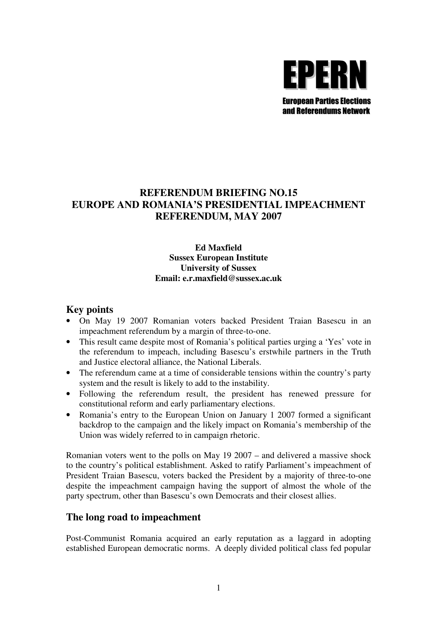

# **REFERENDUM BRIEFING NO.15 EUROPE AND ROMANIA'S PRESIDENTIAL IMPEACHMENT REFERENDUM, MAY 2007**

### **Ed Maxfield Sussex European Institute University of Sussex Email: e.r.maxfield@sussex.ac.uk**

### **Key points**

- On May 19 2007 Romanian voters backed President Traian Basescu in an impeachment referendum by a margin of three-to-one.
- This result came despite most of Romania's political parties urging a 'Yes' vote in the referendum to impeach, including Basescu's erstwhile partners in the Truth and Justice electoral alliance, the National Liberals.
- The referendum came at a time of considerable tensions within the country's party system and the result is likely to add to the instability.
- Following the referendum result, the president has renewed pressure for constitutional reform and early parliamentary elections.
- Romania's entry to the European Union on January 1 2007 formed a significant backdrop to the campaign and the likely impact on Romania's membership of the Union was widely referred to in campaign rhetoric.

Romanian voters went to the polls on May 19 2007 – and delivered a massive shock to the country's political establishment. Asked to ratify Parliament's impeachment of President Traian Basescu, voters backed the President by a majority of three-to-one despite the impeachment campaign having the support of almost the whole of the party spectrum, other than Basescu's own Democrats and their closest allies.

#### **The long road to impeachment**

Post-Communist Romania acquired an early reputation as a laggard in adopting established European democratic norms. A deeply divided political class fed popular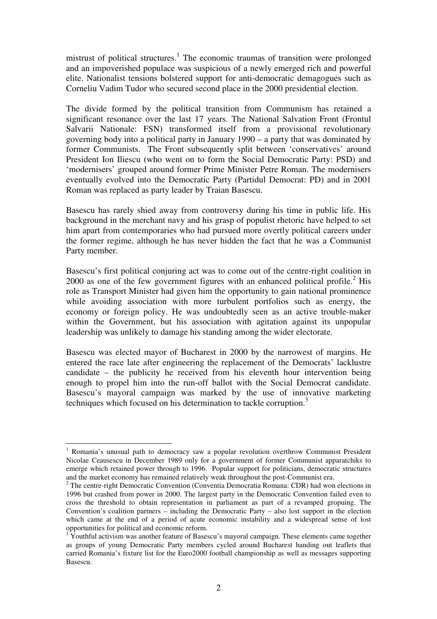mistrust of political structures.<sup>1</sup> The economic traumas of transition were prolonged and an impoverished populace was suspicious of a newly emerged rich and powerful elite. Nationalist tensions bolstered support for anti-democratic demagogues such as Corneliu Vadim Tudor who secured second place in the 2000 presidential election.

The divide formed by the political transition from Communism has retained a significant resonance over the last 17 years. The National Salvation Front (Frontul Salvarii Nationale: FSN) transformed itself from a provisional revolutionary governing body into a political party in January 1990 – a party that was dominated by former Communists. The Front subsequently split between 'conservatives' around President Ion Iliescu (who went on to form the Social Democratic Party: PSD) and 'modernisers' grouped around former Prime Minister Petre Roman. The modernisers eventually evolved into the Democratic Party (Partidul Democrat: PD) and in 2001 Roman was replaced as party leader by Traian Basescu.

Basescu has rarely shied away from controversy during his time in public life. His background in the merchant navy and his grasp of populist rhetoric have helped to set him apart from contemporaries who had pursued more overtly political careers under the former regime, although he has never hidden the fact that he was a Communist Party member.

Basescu's first political conjuring act was to come out of the centre-right coalition in  $2000$  as one of the few government figures with an enhanced political profile.<sup>2</sup> His role as Transport Minister had given him the opportunity to gain national prominence while avoiding association with more turbulent portfolios such as energy, the economy or foreign policy. He was undoubtedly seen as an active trouble-maker within the Government, but his association with agitation against its unpopular leadership was unlikely to damage his standing among the wider electorate.

Basescu was elected mayor of Bucharest in 2000 by the narrowest of margins. He entered the race late after engineering the replacement of the Democrats' lacklustre candidate – the publicity he received from his eleventh hour intervention being enough to propel him into the run-off ballot with the Social Democrat candidate. Basescu's mayoral campaign was marked by the use of innovative marketing techniques which focused on his determination to tackle corruption.<sup>3</sup>

 $\overline{a}$ 

<sup>&</sup>lt;sup>1</sup> Romania's unusual path to democracy saw a popular revolution overthrow Communist President Nicolae Ceausescu in December 1989 only for a government of former Communist apparatchiks to emerge which retained power through to 1996. Popular support for politicians, democratic structures and the market economy has remained relatively weak throughout the post-Communist era.

 $2$  The centre-right Democratic Convention (Conventia Democratia Romana: CDR) had won elections in 1996 but crashed from power in 2000. The largest party in the Democratic Convention failed even to cross the threshold to obtain representation in parliament as part of a revamped gropuing. The Convention's coalition partners – including the Democratic Party – also lost support in the election which came at the end of a period of acute economic instability and a widespread sense of lost opportunities for political and economic reform.

<sup>3</sup> Youthful activism was another feature of Basescu's mayoral campaign. These elements came together as groups of young Democratic Party members cycled around Bucharest handing out leaflets that carried Romania's fixture list for the Euro2000 football championship as well as messages supporting Basescu.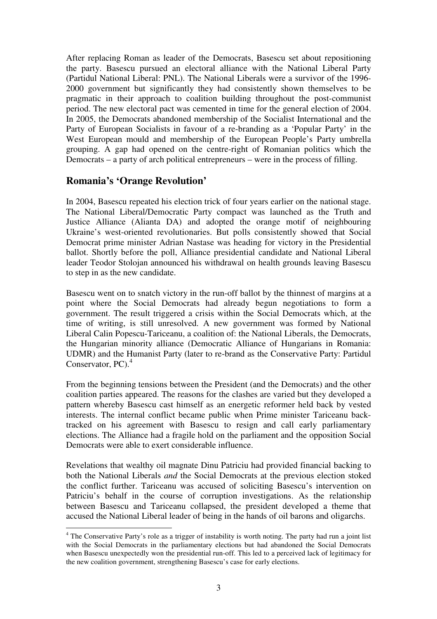After replacing Roman as leader of the Democrats, Basescu set about repositioning the party. Basescu pursued an electoral alliance with the National Liberal Party (Partidul National Liberal: PNL). The National Liberals were a survivor of the 1996- 2000 government but significantly they had consistently shown themselves to be pragmatic in their approach to coalition building throughout the post-communist period. The new electoral pact was cemented in time for the general election of 2004. In 2005, the Democrats abandoned membership of the Socialist International and the Party of European Socialists in favour of a re-branding as a 'Popular Party' in the West European mould and membership of the European People's Party umbrella grouping. A gap had opened on the centre-right of Romanian politics which the Democrats – a party of arch political entrepreneurs – were in the process of filling.

### **Romania's 'Orange Revolution'**

 $\overline{a}$ 

In 2004, Basescu repeated his election trick of four years earlier on the national stage. The National Liberal/Democratic Party compact was launched as the Truth and Justice Alliance (Alianta DA) and adopted the orange motif of neighbouring Ukraine's west-oriented revolutionaries. But polls consistently showed that Social Democrat prime minister Adrian Nastase was heading for victory in the Presidential ballot. Shortly before the poll, Alliance presidential candidate and National Liberal leader Teodor Stolojan announced his withdrawal on health grounds leaving Basescu to step in as the new candidate.

Basescu went on to snatch victory in the run-off ballot by the thinnest of margins at a point where the Social Democrats had already begun negotiations to form a government. The result triggered a crisis within the Social Democrats which, at the time of writing, is still unresolved. A new government was formed by National Liberal Calin Popescu-Tariceanu, a coalition of: the National Liberals, the Democrats, the Hungarian minority alliance (Democratic Alliance of Hungarians in Romania: UDMR) and the Humanist Party (later to re-brand as the Conservative Party: Partidul Conservator, PC).<sup>4</sup>

From the beginning tensions between the President (and the Democrats) and the other coalition parties appeared. The reasons for the clashes are varied but they developed a pattern whereby Basescu cast himself as an energetic reformer held back by vested interests. The internal conflict became public when Prime minister Tariceanu backtracked on his agreement with Basescu to resign and call early parliamentary elections. The Alliance had a fragile hold on the parliament and the opposition Social Democrats were able to exert considerable influence.

Revelations that wealthy oil magnate Dinu Patriciu had provided financial backing to both the National Liberals *and* the Social Democrats at the previous election stoked the conflict further. Tariceanu was accused of soliciting Basescu's intervention on Patriciu's behalf in the course of corruption investigations. As the relationship between Basescu and Tariceanu collapsed, the president developed a theme that accused the National Liberal leader of being in the hands of oil barons and oligarchs.

<sup>&</sup>lt;sup>4</sup> The Conservative Party's role as a trigger of instability is worth noting. The party had run a joint list with the Social Democrats in the parliamentary elections but had abandoned the Social Democrats when Basescu unexpectedly won the presidential run-off. This led to a perceived lack of legitimacy for the new coalition government, strengthening Basescu's case for early elections.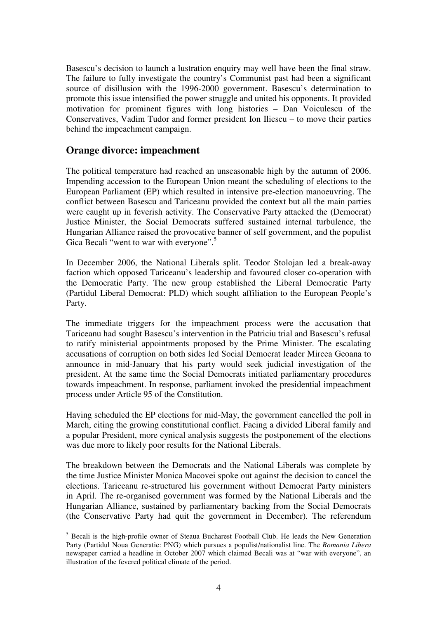Basescu's decision to launch a lustration enquiry may well have been the final straw. The failure to fully investigate the country's Communist past had been a significant source of disillusion with the 1996-2000 government. Basescu's determination to promote this issue intensified the power struggle and united his opponents. It provided motivation for prominent figures with long histories – Dan Voiculescu of the Conservatives, Vadim Tudor and former president Ion Iliescu – to move their parties behind the impeachment campaign.

### **Orange divorce: impeachment**

 $\overline{a}$ 

The political temperature had reached an unseasonable high by the autumn of 2006. Impending accession to the European Union meant the scheduling of elections to the European Parliament (EP) which resulted in intensive pre-election manoeuvring. The conflict between Basescu and Tariceanu provided the context but all the main parties were caught up in feverish activity. The Conservative Party attacked the (Democrat) Justice Minister, the Social Democrats suffered sustained internal turbulence, the Hungarian Alliance raised the provocative banner of self government, and the populist Gica Becali "went to war with everyone".<sup>5</sup>

In December 2006, the National Liberals split. Teodor Stolojan led a break-away faction which opposed Tariceanu's leadership and favoured closer co-operation with the Democratic Party. The new group established the Liberal Democratic Party (Partidul Liberal Democrat: PLD) which sought affiliation to the European People's Party.

The immediate triggers for the impeachment process were the accusation that Tariceanu had sought Basescu's intervention in the Patriciu trial and Basescu's refusal to ratify ministerial appointments proposed by the Prime Minister. The escalating accusations of corruption on both sides led Social Democrat leader Mircea Geoana to announce in mid-January that his party would seek judicial investigation of the president. At the same time the Social Democrats initiated parliamentary procedures towards impeachment. In response, parliament invoked the presidential impeachment process under Article 95 of the Constitution.

Having scheduled the EP elections for mid-May, the government cancelled the poll in March, citing the growing constitutional conflict. Facing a divided Liberal family and a popular President, more cynical analysis suggests the postponement of the elections was due more to likely poor results for the National Liberals.

The breakdown between the Democrats and the National Liberals was complete by the time Justice Minister Monica Macovei spoke out against the decision to cancel the elections. Tariceanu re-structured his government without Democrat Party ministers in April. The re-organised government was formed by the National Liberals and the Hungarian Alliance, sustained by parliamentary backing from the Social Democrats (the Conservative Party had quit the government in December). The referendum

<sup>&</sup>lt;sup>5</sup> Becali is the high-profile owner of Steaua Bucharest Football Club. He leads the New Generation Party (Partidul Noua Generatie: PNG) which pursues a populist/nationalist line. The *Romania Libera* newspaper carried a headline in October 2007 which claimed Becali was at "war with everyone", an illustration of the fevered political climate of the period.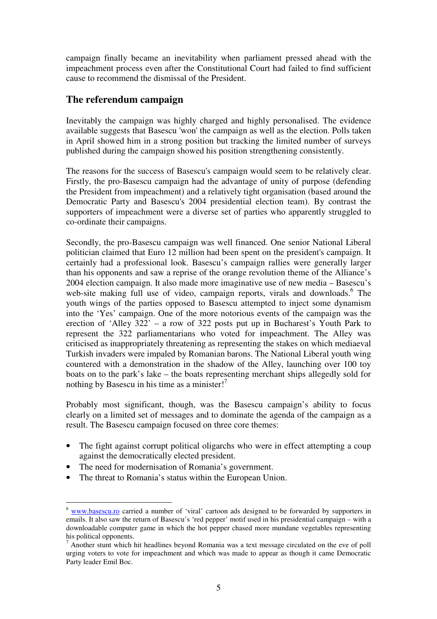campaign finally became an inevitability when parliament pressed ahead with the impeachment process even after the Constitutional Court had failed to find sufficient cause to recommend the dismissal of the President.

## **The referendum campaign**

Inevitably the campaign was highly charged and highly personalised. The evidence available suggests that Basescu 'won' the campaign as well as the election. Polls taken in April showed him in a strong position but tracking the limited number of surveys published during the campaign showed his position strengthening consistently.

The reasons for the success of Basescu's campaign would seem to be relatively clear. Firstly, the pro-Basescu campaign had the advantage of unity of purpose (defending the President from impeachment) and a relatively tight organisation (based around the Democratic Party and Basescu's 2004 presidential election team). By contrast the supporters of impeachment were a diverse set of parties who apparently struggled to co-ordinate their campaigns.

Secondly, the pro-Basescu campaign was well financed. One senior National Liberal politician claimed that Euro 12 million had been spent on the president's campaign. It certainly had a professional look. Basescu's campaign rallies were generally larger than his opponents and saw a reprise of the orange revolution theme of the Alliance's 2004 election campaign. It also made more imaginative use of new media – Basescu's web-site making full use of video, campaign reports, virals and downloads.<sup>6</sup> The youth wings of the parties opposed to Basescu attempted to inject some dynamism into the 'Yes' campaign. One of the more notorious events of the campaign was the erection of 'Alley 322' – a row of 322 posts put up in Bucharest's Youth Park to represent the 322 parliamentarians who voted for impeachment. The Alley was criticised as inappropriately threatening as representing the stakes on which mediaeval Turkish invaders were impaled by Romanian barons. The National Liberal youth wing countered with a demonstration in the shadow of the Alley, launching over 100 toy boats on to the park's lake – the boats representing merchant ships allegedly sold for nothing by Basescu in his time as a minister!<sup>7</sup>

Probably most significant, though, was the Basescu campaign's ability to focus clearly on a limited set of messages and to dominate the agenda of the campaign as a result. The Basescu campaign focused on three core themes:

- The fight against corrupt political oligarchs who were in effect attempting a coup against the democratically elected president.
- The need for modernisation of Romania's government.
- The threat to Romania's status within the European Union.

 $\overline{a}$ <sup>6</sup> www.basescu.ro carried a number of 'viral' cartoon ads designed to be forwarded by supporters in emails. It also saw the return of Basescu's 'red pepper' motif used in his presidential campaign – with a downloadable computer game in which the hot pepper chased more mundane vegetables representing his political opponents.

 $<sup>7</sup>$  Another stunt which hit headlines beyond Romania was a text message circulated on the eve of poll</sup> urging voters to vote for impeachment and which was made to appear as though it came Democratic Party leader Emil Boc.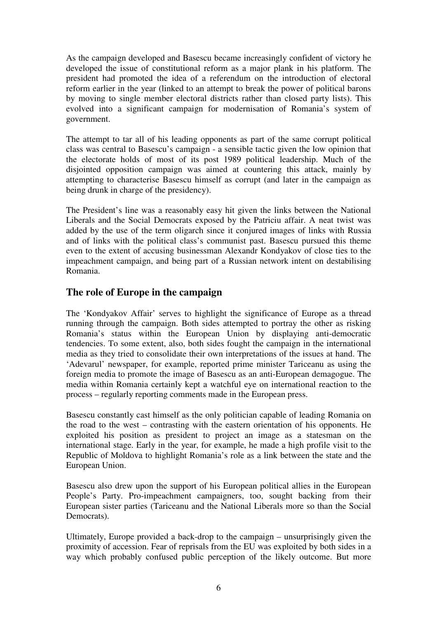As the campaign developed and Basescu became increasingly confident of victory he developed the issue of constitutional reform as a major plank in his platform. The president had promoted the idea of a referendum on the introduction of electoral reform earlier in the year (linked to an attempt to break the power of political barons by moving to single member electoral districts rather than closed party lists). This evolved into a significant campaign for modernisation of Romania's system of government.

The attempt to tar all of his leading opponents as part of the same corrupt political class was central to Basescu's campaign - a sensible tactic given the low opinion that the electorate holds of most of its post 1989 political leadership. Much of the disjointed opposition campaign was aimed at countering this attack, mainly by attempting to characterise Basescu himself as corrupt (and later in the campaign as being drunk in charge of the presidency).

The President's line was a reasonably easy hit given the links between the National Liberals and the Social Democrats exposed by the Patriciu affair. A neat twist was added by the use of the term oligarch since it conjured images of links with Russia and of links with the political class's communist past. Basescu pursued this theme even to the extent of accusing businessman Alexandr Kondyakov of close ties to the impeachment campaign, and being part of a Russian network intent on destabilising Romania.

# **The role of Europe in the campaign**

The 'Kondyakov Affair' serves to highlight the significance of Europe as a thread running through the campaign. Both sides attempted to portray the other as risking Romania's status within the European Union by displaying anti-democratic tendencies. To some extent, also, both sides fought the campaign in the international media as they tried to consolidate their own interpretations of the issues at hand. The 'Adevarul' newspaper, for example, reported prime minister Tariceanu as using the foreign media to promote the image of Basescu as an anti-European demagogue. The media within Romania certainly kept a watchful eye on international reaction to the process – regularly reporting comments made in the European press.

Basescu constantly cast himself as the only politician capable of leading Romania on the road to the west – contrasting with the eastern orientation of his opponents. He exploited his position as president to project an image as a statesman on the international stage. Early in the year, for example, he made a high profile visit to the Republic of Moldova to highlight Romania's role as a link between the state and the European Union.

Basescu also drew upon the support of his European political allies in the European People's Party. Pro-impeachment campaigners, too, sought backing from their European sister parties (Tariceanu and the National Liberals more so than the Social Democrats).

Ultimately, Europe provided a back-drop to the campaign – unsurprisingly given the proximity of accession. Fear of reprisals from the EU was exploited by both sides in a way which probably confused public perception of the likely outcome. But more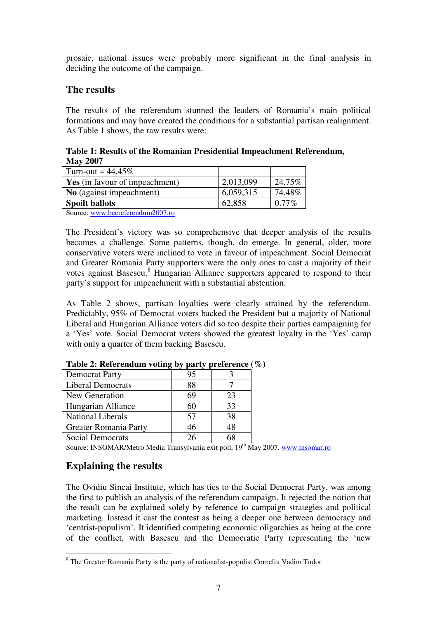prosaic, national issues were probably more significant in the final analysis in deciding the outcome of the campaign.

## **The results**

The results of the referendum stunned the leaders of Romania's main political formations and may have created the conditions for a substantial partisan realignment. As Table 1 shows, the raw results were:

**Table 1: Results of the Romanian Presidential Impeachment Referendum, May 2007** 

| Turn-out = $44.45\%$                  |           |          |
|---------------------------------------|-----------|----------|
| <b>Yes</b> (in favour of impeachment) | 2,013,099 | 24.75%   |
| <b>No</b> (against impeachment)       | 6,059,315 | 74.48%   |
| <b>Spoilt ballots</b>                 | 62,858    | $0.77\%$ |
| $\alpha$ 1 $\alpha$ 1 $\alpha$        |           |          |

Source: www.becreferendum2007.ro

The President's victory was so comprehensive that deeper analysis of the results becomes a challenge. Some patterns, though, do emerge. In general, older, more conservative voters were inclined to vote in favour of impeachment. Social Democrat and Greater Romania Party supporters were the only ones to cast a majority of their votes against Basescu.<sup>8</sup> Hungarian Alliance supporters appeared to respond to their party's support for impeachment with a substantial abstention.

As Table 2 shows, partisan loyalties were clearly strained by the referendum. Predictably, 95% of Democrat voters backed the President but a majority of National Liberal and Hungarian Alliance voters did so too despite their parties campaigning for a 'Yes' vote. Social Democrat voters showed the greatest loyalty in the 'Yes' camp with only a quarter of them backing Basescu.

| <b>Democrat Party</b>    | 95 |    |
|--------------------------|----|----|
| <b>Liberal Democrats</b> | 88 |    |
| New Generation           | 69 | 23 |
| Hungarian Alliance       | 60 | 33 |
| <b>National Liberals</b> | 57 | 38 |
| Greater Romania Party    | 46 | 48 |
| <b>Social Democrats</b>  |    | 68 |

**Table 2: Referendum voting by party preference (%)** 

Source: INSOMAR/Metro Media Transylvania exit poll, 19<sup>th</sup> May 2007. www.insomar.ro

# **Explaining the results**

The Ovidiu Sincai Institute, which has ties to the Social Democrat Party, was among the first to publish an analysis of the referendum campaign. It rejected the notion that the result can be explained solely by reference to campaign strategies and political marketing. Instead it cast the contest as being a deeper one between democracy and 'centrist-populism'. It identified competing economic oligarchies as being at the core of the conflict, with Basescu and the Democratic Party representing the 'new

<sup>&</sup>lt;sup>8</sup> The Greater Romania Party is the party of nationalist-populist Corneliu Vadim Tudor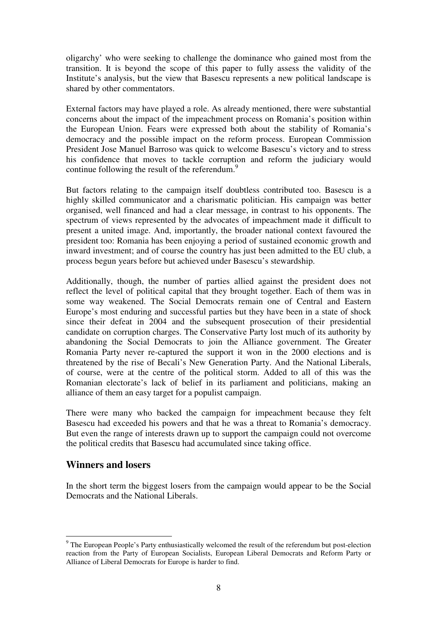oligarchy' who were seeking to challenge the dominance who gained most from the transition. It is beyond the scope of this paper to fully assess the validity of the Institute's analysis, but the view that Basescu represents a new political landscape is shared by other commentators.

External factors may have played a role. As already mentioned, there were substantial concerns about the impact of the impeachment process on Romania's position within the European Union. Fears were expressed both about the stability of Romania's democracy and the possible impact on the reform process. European Commission President Jose Manuel Barroso was quick to welcome Basescu's victory and to stress his confidence that moves to tackle corruption and reform the judiciary would continue following the result of the referendum.<sup>9</sup>

But factors relating to the campaign itself doubtless contributed too. Basescu is a highly skilled communicator and a charismatic politician. His campaign was better organised, well financed and had a clear message, in contrast to his opponents. The spectrum of views represented by the advocates of impeachment made it difficult to present a united image. And, importantly, the broader national context favoured the president too: Romania has been enjoying a period of sustained economic growth and inward investment; and of course the country has just been admitted to the EU club, a process begun years before but achieved under Basescu's stewardship.

Additionally, though, the number of parties allied against the president does not reflect the level of political capital that they brought together. Each of them was in some way weakened. The Social Democrats remain one of Central and Eastern Europe's most enduring and successful parties but they have been in a state of shock since their defeat in 2004 and the subsequent prosecution of their presidential candidate on corruption charges. The Conservative Party lost much of its authority by abandoning the Social Democrats to join the Alliance government. The Greater Romania Party never re-captured the support it won in the 2000 elections and is threatened by the rise of Becali's New Generation Party. And the National Liberals, of course, were at the centre of the political storm. Added to all of this was the Romanian electorate's lack of belief in its parliament and politicians, making an alliance of them an easy target for a populist campaign.

There were many who backed the campaign for impeachment because they felt Basescu had exceeded his powers and that he was a threat to Romania's democracy. But even the range of interests drawn up to support the campaign could not overcome the political credits that Basescu had accumulated since taking office.

#### **Winners and losers**

 $\overline{a}$ 

In the short term the biggest losers from the campaign would appear to be the Social Democrats and the National Liberals.

<sup>&</sup>lt;sup>9</sup> The European People's Party enthusiastically welcomed the result of the referendum but post-election reaction from the Party of European Socialists, European Liberal Democrats and Reform Party or Alliance of Liberal Democrats for Europe is harder to find.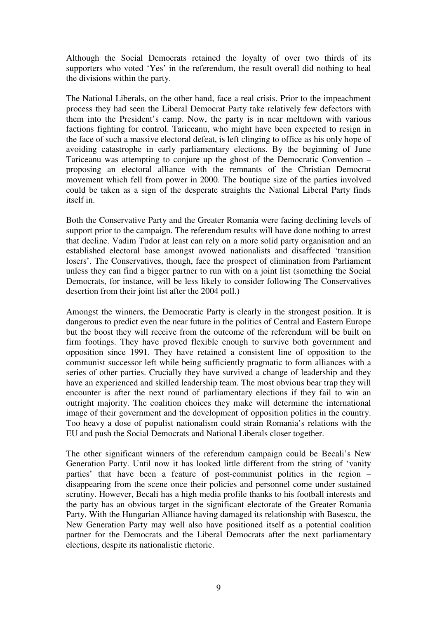Although the Social Democrats retained the loyalty of over two thirds of its supporters who voted 'Yes' in the referendum, the result overall did nothing to heal the divisions within the party.

The National Liberals, on the other hand, face a real crisis. Prior to the impeachment process they had seen the Liberal Democrat Party take relatively few defectors with them into the President's camp. Now, the party is in near meltdown with various factions fighting for control. Tariceanu, who might have been expected to resign in the face of such a massive electoral defeat, is left clinging to office as his only hope of avoiding catastrophe in early parliamentary elections. By the beginning of June Tariceanu was attempting to conjure up the ghost of the Democratic Convention – proposing an electoral alliance with the remnants of the Christian Democrat movement which fell from power in 2000. The boutique size of the parties involved could be taken as a sign of the desperate straights the National Liberal Party finds itself in.

Both the Conservative Party and the Greater Romania were facing declining levels of support prior to the campaign. The referendum results will have done nothing to arrest that decline. Vadim Tudor at least can rely on a more solid party organisation and an established electoral base amongst avowed nationalists and disaffected 'transition losers'. The Conservatives, though, face the prospect of elimination from Parliament unless they can find a bigger partner to run with on a joint list (something the Social Democrats, for instance, will be less likely to consider following The Conservatives desertion from their joint list after the 2004 poll.)

Amongst the winners, the Democratic Party is clearly in the strongest position. It is dangerous to predict even the near future in the politics of Central and Eastern Europe but the boost they will receive from the outcome of the referendum will be built on firm footings. They have proved flexible enough to survive both government and opposition since 1991. They have retained a consistent line of opposition to the communist successor left while being sufficiently pragmatic to form alliances with a series of other parties. Crucially they have survived a change of leadership and they have an experienced and skilled leadership team. The most obvious bear trap they will encounter is after the next round of parliamentary elections if they fail to win an outright majority. The coalition choices they make will determine the international image of their government and the development of opposition politics in the country. Too heavy a dose of populist nationalism could strain Romania's relations with the EU and push the Social Democrats and National Liberals closer together.

The other significant winners of the referendum campaign could be Becali's New Generation Party. Until now it has looked little different from the string of 'vanity parties' that have been a feature of post-communist politics in the region – disappearing from the scene once their policies and personnel come under sustained scrutiny. However, Becali has a high media profile thanks to his football interests and the party has an obvious target in the significant electorate of the Greater Romania Party. With the Hungarian Alliance having damaged its relationship with Basescu, the New Generation Party may well also have positioned itself as a potential coalition partner for the Democrats and the Liberal Democrats after the next parliamentary elections, despite its nationalistic rhetoric.